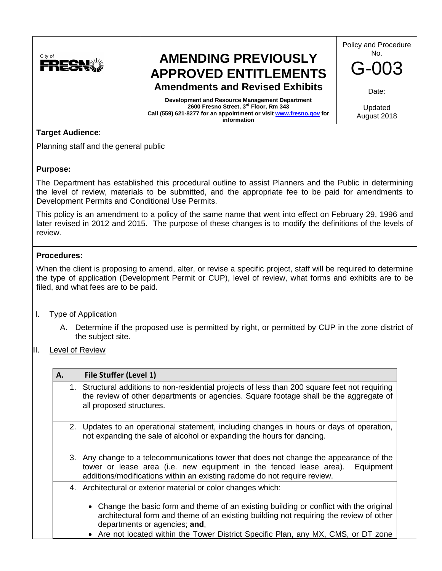

# **AMENDING PREVIOUSLY APPROVED ENTITLEMENTS Amendments and Revised Exhibits**

**Development and Resource Management Department 2600 Fresno Street, 3rd Floor, Rm 343 Call (559) 621-8277 for an appointment or visi[t www.fresno.gov](http://www.fresno.gov/) for information**

Policy and Procedure No.

 $-00$ 

Date:

Updated August 2018

## **Target Audience**:

Planning staff and the general public

### **Purpose:**

The Department has established this procedural outline to assist Planners and the Public in determining the level of review, materials to be submitted, and the appropriate fee to be paid for amendments to Development Permits and Conditional Use Permits.

This policy is an amendment to a policy of the same name that went into effect on February 29, 1996 and later revised in 2012 and 2015. The purpose of these changes is to modify the definitions of the levels of review.

### **Procedures:**

When the client is proposing to amend, alter, or revise a specific project, staff will be required to determine the type of application (Development Permit or CUP), level of review, what forms and exhibits are to be filed, and what fees are to be paid.

- I. Type of Application
	- A. Determine if the proposed use is permitted by right, or permitted by CUP in the zone district of the subject site.
- II. Level of Review

| A. | File Stuffer (Level 1)                                                                                                                                                                                                                                |  |
|----|-------------------------------------------------------------------------------------------------------------------------------------------------------------------------------------------------------------------------------------------------------|--|
|    | 1. Structural additions to non-residential projects of less than 200 square feet not requiring<br>the review of other departments or agencies. Square footage shall be the aggregate of<br>all proposed structures.                                   |  |
|    | 2. Updates to an operational statement, including changes in hours or days of operation,<br>not expanding the sale of alcohol or expanding the hours for dancing.                                                                                     |  |
|    | 3. Any change to a telecommunications tower that does not change the appearance of the<br>tower or lease area (i.e. new equipment in the fenced lease area).<br>Equipment<br>additions/modifications within an existing radome do not require review. |  |
|    | 4. Architectural or exterior material or color changes which:                                                                                                                                                                                         |  |
|    | • Change the basic form and theme of an existing building or conflict with the original<br>architectural form and theme of an existing building not requiring the review of other<br>departments or agencies; and,                                    |  |

• Are not located within the Tower District Specific Plan, any MX, CMS, or DT zone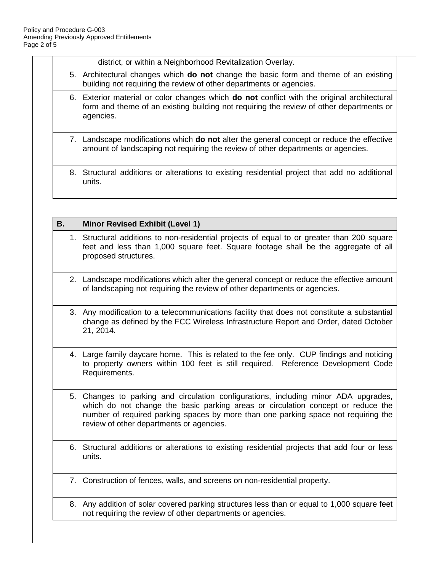district, or within a Neighborhood Revitalization Overlay.

- 5. Architectural changes which **do not** change the basic form and theme of an existing building not requiring the review of other departments or agencies.
- 6. Exterior material or color changes which **do not** conflict with the original architectural form and theme of an existing building not requiring the review of other departments or agencies.
- 7. Landscape modifications which **do not** alter the general concept or reduce the effective amount of landscaping not requiring the review of other departments or agencies.
- 8. Structural additions or alterations to existing residential project that add no additional units.

#### **B. Minor Revised Exhibit (Level 1)**

- 1. Structural additions to non-residential projects of equal to or greater than 200 square feet and less than 1,000 square feet. Square footage shall be the aggregate of all proposed structures.
- 2. Landscape modifications which alter the general concept or reduce the effective amount of landscaping not requiring the review of other departments or agencies.
- 3. Any modification to a telecommunications facility that does not constitute a substantial change as defined by the FCC Wireless Infrastructure Report and Order, dated October 21, 2014.
- 4. Large family daycare home. This is related to the fee only. CUP findings and noticing to property owners within 100 feet is still required. Reference Development Code Requirements.
- 5. Changes to parking and circulation configurations, including minor ADA upgrades, which do not change the basic parking areas or circulation concept or reduce the number of required parking spaces by more than one parking space not requiring the review of other departments or agencies.
- 6. Structural additions or alterations to existing residential projects that add four or less units.
- 7. Construction of fences, walls, and screens on non-residential property.
- 8. Any addition of solar covered parking structures less than or equal to 1,000 square feet not requiring the review of other departments or agencies.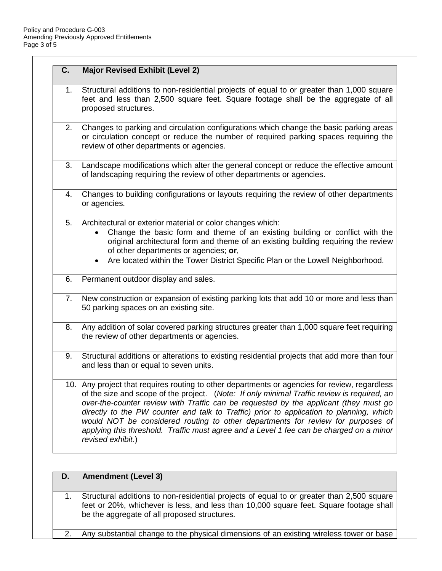| C. | <b>Major Revised Exhibit (Level 2)</b>                                                                                                                                                                                                                                                                                                                                                                                                                                                                                                                                             |  |
|----|------------------------------------------------------------------------------------------------------------------------------------------------------------------------------------------------------------------------------------------------------------------------------------------------------------------------------------------------------------------------------------------------------------------------------------------------------------------------------------------------------------------------------------------------------------------------------------|--|
| 1. | Structural additions to non-residential projects of equal to or greater than 1,000 square<br>feet and less than 2,500 square feet. Square footage shall be the aggregate of all<br>proposed structures.                                                                                                                                                                                                                                                                                                                                                                            |  |
| 2. | Changes to parking and circulation configurations which change the basic parking areas<br>or circulation concept or reduce the number of required parking spaces requiring the<br>review of other departments or agencies.                                                                                                                                                                                                                                                                                                                                                         |  |
| 3. | Landscape modifications which alter the general concept or reduce the effective amount<br>of landscaping requiring the review of other departments or agencies.                                                                                                                                                                                                                                                                                                                                                                                                                    |  |
| 4. | Changes to building configurations or layouts requiring the review of other departments<br>or agencies.                                                                                                                                                                                                                                                                                                                                                                                                                                                                            |  |
| 5. | Architectural or exterior material or color changes which:<br>Change the basic form and theme of an existing building or conflict with the<br>original architectural form and theme of an existing building requiring the review<br>of other departments or agencies; or,<br>Are located within the Tower District Specific Plan or the Lowell Neighborhood.                                                                                                                                                                                                                       |  |
| 6. | Permanent outdoor display and sales.                                                                                                                                                                                                                                                                                                                                                                                                                                                                                                                                               |  |
| 7. | New construction or expansion of existing parking lots that add 10 or more and less than<br>50 parking spaces on an existing site.                                                                                                                                                                                                                                                                                                                                                                                                                                                 |  |
| 8. | Any addition of solar covered parking structures greater than 1,000 square feet requiring<br>the review of other departments or agencies.                                                                                                                                                                                                                                                                                                                                                                                                                                          |  |
| 9. | Structural additions or alterations to existing residential projects that add more than four<br>and less than or equal to seven units.                                                                                                                                                                                                                                                                                                                                                                                                                                             |  |
|    | 10. Any project that requires routing to other departments or agencies for review, regardless<br>of the size and scope of the project. (Note: If only minimal Traffic review is required, an<br>over-the-counter review with Traffic can be requested by the applicant (they must go<br>directly to the PW counter and talk to Traffic) prior to application to planning, which<br>would NOT be considered routing to other departments for review for purposes of<br>applying this threshold. Traffic must agree and a Level 1 fee can be charged on a minor<br>revised exhibit.) |  |
| D. | <b>Amendment (Level 3)</b>                                                                                                                                                                                                                                                                                                                                                                                                                                                                                                                                                         |  |
| 1  | Structural additions to non-residential projects of equal to or greater than 2.500 square                                                                                                                                                                                                                                                                                                                                                                                                                                                                                          |  |

1. Structural additions to non-residential projects of equal to or greater than 2,500 square feet or 20%, whichever is less, and less than 10,000 square feet. Square footage shall be the aggregate of all proposed structures.

2. Any substantial change to the physical dimensions of an existing wireless tower or base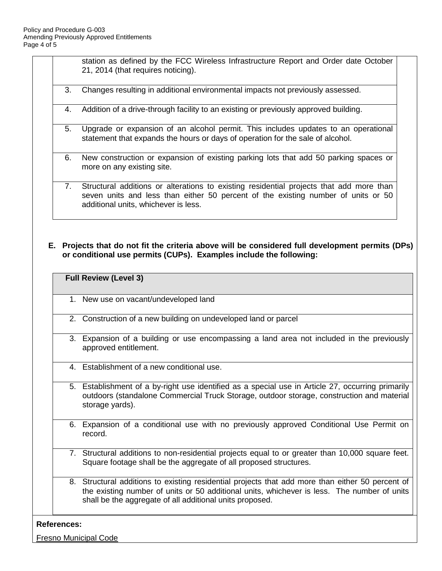station as defined by the FCC Wireless Infrastructure Report and Order date October 21, 2014 (that requires noticing).

- 3. Changes resulting in additional environmental impacts not previously assessed.
- 4. Addition of a drive-through facility to an existing or previously approved building.
- 5. Upgrade or expansion of an alcohol permit. This includes updates to an operational statement that expands the hours or days of operation for the sale of alcohol.
- 6. New construction or expansion of existing parking lots that add 50 parking spaces or more on any existing site.
- 7. Structural additions or alterations to existing residential projects that add more than seven units and less than either 50 percent of the existing number of units or 50 additional units, whichever is less.
- **E. Projects that do not fit the criteria above will be considered full development permits (DPs) or conditional use permits (CUPs). Examples include the following:**

|  |  | <b>Full Review (Level 3)</b> |
|--|--|------------------------------|
|--|--|------------------------------|

- 1. New use on vacant/undeveloped land
- 2. Construction of a new building on undeveloped land or parcel
- 3. Expansion of a building or use encompassing a land area not included in the previously approved entitlement.
- 4. Establishment of a new conditional use.
- 5. Establishment of a by-right use identified as a special use in Article 27, occurring primarily outdoors (standalone Commercial Truck Storage, outdoor storage, construction and material storage yards).
- 6. Expansion of a conditional use with no previously approved Conditional Use Permit on record.
- 7. Structural additions to non-residential projects equal to or greater than 10,000 square feet. Square footage shall be the aggregate of all proposed structures.
- 8. Structural additions to existing residential projects that add more than either 50 percent of the existing number of units or 50 additional units, whichever is less. The number of units shall be the aggregate of all additional units proposed.

#### **References:**

Fresno Municipal Code